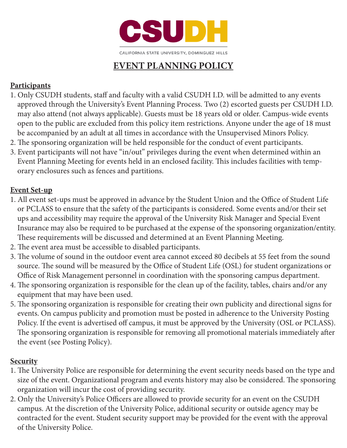

CALIFORNIA STATE UNIVERSITY, DOMINGUEZ HILLS

# **EVENT PLANNING POLICY**

# **Participants**

- 1. Only CSUDH students, staff and faculty with a valid CSUDH I.D. will be admitted to any events approved through the University's Event Planning Process. Two (2) escorted guests per CSUDH I.D. may also attend (not always applicable). Guests must be 18 years old or older. Campus-wide events open to the public are excluded from this policy item restrictions. Anyone under the age of 18 must be accompanied by an adult at all times in accordance with the Unsupervised Minors Policy.
- 2. The sponsoring organization will be held responsible for the conduct of event participants.
- 3. Event participants will not have "in/out" privileges during the event when determined within an Event Planning Meeting for events held in an enclosed facility. This includes facilities with temp orary enclosures such as fences and partitions.

## **Event Set-up**

- 1. All event set-ups must be approved in advance by the Student Union and the Office of Student Life or PCLASS to ensure that the safety of the participants is considered. Some events and/or their set ups and accessibility may require the approval of the University Risk Manager and Special Event Insurance may also be required to be purchased at the expense of the sponsoring organization/entity. These requirements will be discussed and determined at an Event Planning Meeting.
- 2. The event area must be accessible to disabled participants.
- 3. The volume of sound in the outdoor event area cannot exceed 80 decibels at 55 feet from the sound source. The sound will be measured by the Office of Student Life (OSL) for student organizations or Office of Risk Management personnel in coordination with the sponsoring campus department.
- 4. The sponsoring organization is responsible for the clean up of the facility, tables, chairs and/or any equipment that may have been used.
- 5. The sponsoring organization is responsible for creating their own publicity and directional signs for events. On campus publicity and promotion must be posted in adherence to the University Posting Policy. If the event is advertised off campus, it must be approved by the University (OSL or PCLASS). The sponsoring organization is responsible for removing all promotional materials immediately after the event (see Posting Policy).

### **Security**

- 1. The University Police are responsible for determining the event security needs based on the type and size of the event. Organizational program and events history may also be considered. The sponsoring organization will incur the cost of providing security.
- 2. Only the University's Police Officers are allowed to provide security for an event on the CSUDH campus. At the discretion of the University Police, additional security or outside agency may be contracted for the event. Student security support may be provided for the event with the approval of the University Police.